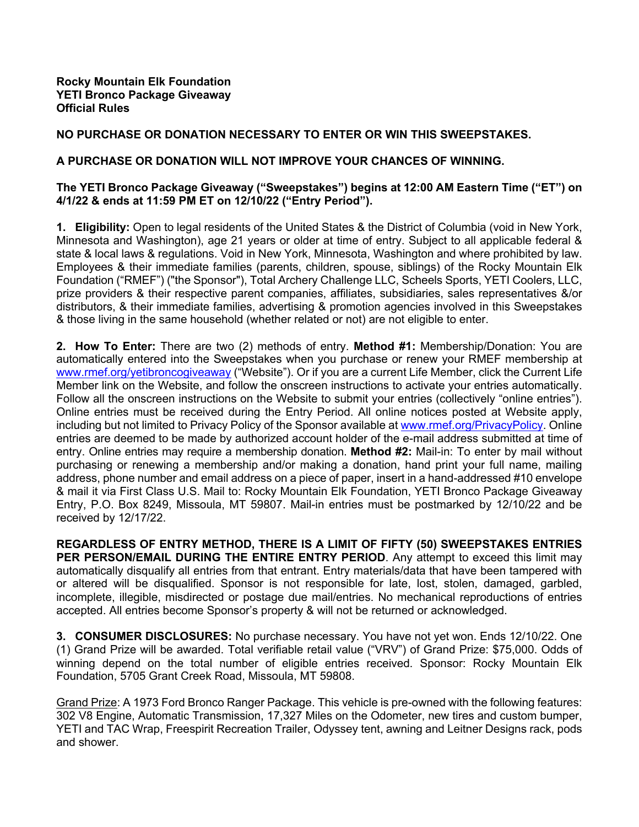## **NO PURCHASE OR DONATION NECESSARY TO ENTER OR WIN THIS SWEEPSTAKES.**

## **A PURCHASE OR DONATION WILL NOT IMPROVE YOUR CHANCES OF WINNING.**

## **The YETI Bronco Package Giveaway ("Sweepstakes") begins at 12:00 AM Eastern Time ("ET") on 4/1/22 & ends at 11:59 PM ET on 12/10/22 ("Entry Period").**

**1. Eligibility:** Open to legal residents of the United States & the District of Columbia (void in New York, Minnesota and Washington), age 21 years or older at time of entry. Subject to all applicable federal & state & local laws & regulations. Void in New York, Minnesota, Washington and where prohibited by law. Employees & their immediate families (parents, children, spouse, siblings) of the Rocky Mountain Elk Foundation ("RMEF") ("the Sponsor"), Total Archery Challenge LLC, Scheels Sports, YETI Coolers, LLC, prize providers & their respective parent companies, affiliates, subsidiaries, sales representatives &/or distributors, & their immediate families, advertising & promotion agencies involved in this Sweepstakes & those living in the same household (whether related or not) are not eligible to enter.

**2. How To Enter:** There are two (2) methods of entry. **Method #1:** Membership/Donation: You are automatically entered into the Sweepstakes when you purchase or renew your RMEF membership at www.rmef.org/yetibroncogiveaway ("Website"). Or if you are a current Life Member, click the Current Life Member link on the Website, and follow the onscreen instructions to activate your entries automatically. Follow all the onscreen instructions on the Website to submit your entries (collectively "online entries"). Online entries must be received during the Entry Period. All online notices posted at Website apply, including but not limited to Privacy Policy of the Sponsor available at www.rmef.org/PrivacyPolicy. Online entries are deemed to be made by authorized account holder of the e-mail address submitted at time of entry. Online entries may require a membership donation. **Method #2:** Mail-in: To enter by mail without purchasing or renewing a membership and/or making a donation, hand print your full name, mailing address, phone number and email address on a piece of paper, insert in a hand-addressed #10 envelope & mail it via First Class U.S. Mail to: Rocky Mountain Elk Foundation, YETI Bronco Package Giveaway Entry, P.O. Box 8249, Missoula, MT 59807. Mail-in entries must be postmarked by 12/10/22 and be received by 12/17/22.

**REGARDLESS OF ENTRY METHOD, THERE IS A LIMIT OF FIFTY (50) SWEEPSTAKES ENTRIES**  PER PERSON/EMAIL DURING THE ENTIRE ENTRY PERIOD. Any attempt to exceed this limit may automatically disqualify all entries from that entrant. Entry materials/data that have been tampered with or altered will be disqualified. Sponsor is not responsible for late, lost, stolen, damaged, garbled, incomplete, illegible, misdirected or postage due mail/entries. No mechanical reproductions of entries accepted. All entries become Sponsor's property & will not be returned or acknowledged.

**3. CONSUMER DISCLOSURES:** No purchase necessary. You have not yet won. Ends 12/10/22. One (1) Grand Prize will be awarded. Total verifiable retail value ("VRV") of Grand Prize: \$75,000. Odds of winning depend on the total number of eligible entries received. Sponsor: Rocky Mountain Elk Foundation, 5705 Grant Creek Road, Missoula, MT 59808.

Grand Prize: A 1973 Ford Bronco Ranger Package. This vehicle is pre-owned with the following features: 302 V8 Engine, Automatic Transmission, 17,327 Miles on the Odometer, new tires and custom bumper, YETI and TAC Wrap, Freespirit Recreation Trailer, Odyssey tent, awning and Leitner Designs rack, pods and shower.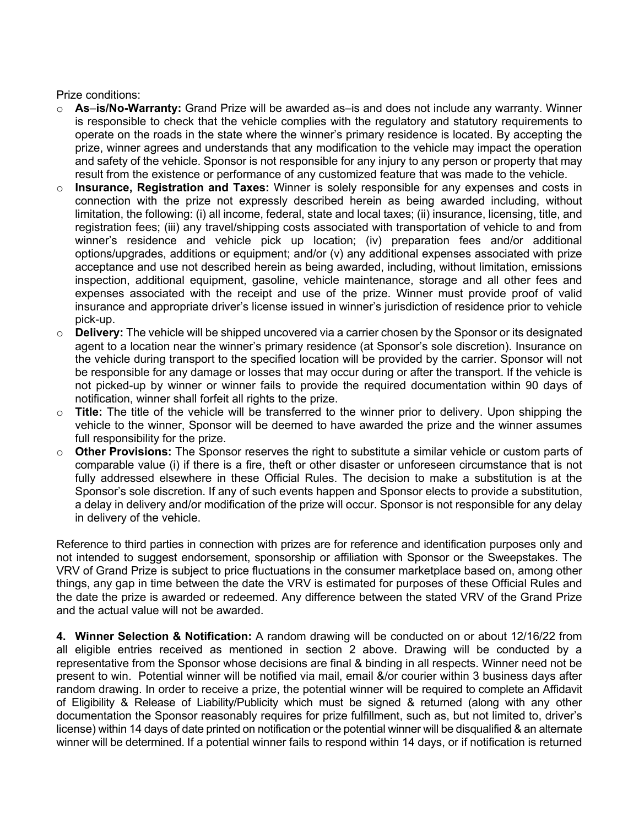Prize conditions:

- o **As**–**is/No-Warranty:** Grand Prize will be awarded as–is and does not include any warranty. Winner is responsible to check that the vehicle complies with the regulatory and statutory requirements to operate on the roads in the state where the winner's primary residence is located. By accepting the prize, winner agrees and understands that any modification to the vehicle may impact the operation and safety of the vehicle. Sponsor is not responsible for any injury to any person or property that may result from the existence or performance of any customized feature that was made to the vehicle.
- o **Insurance, Registration and Taxes:** Winner is solely responsible for any expenses and costs in connection with the prize not expressly described herein as being awarded including, without limitation, the following: (i) all income, federal, state and local taxes; (ii) insurance, licensing, title, and registration fees; (iii) any travel/shipping costs associated with transportation of vehicle to and from winner's residence and vehicle pick up location; (iv) preparation fees and/or additional options/upgrades, additions or equipment; and/or (v) any additional expenses associated with prize acceptance and use not described herein as being awarded, including, without limitation, emissions inspection, additional equipment, gasoline, vehicle maintenance, storage and all other fees and expenses associated with the receipt and use of the prize. Winner must provide proof of valid insurance and appropriate driver's license issued in winner's jurisdiction of residence prior to vehicle pick-up.
- o **Delivery:** The vehicle will be shipped uncovered via a carrier chosen by the Sponsor or its designated agent to a location near the winner's primary residence (at Sponsor's sole discretion). Insurance on the vehicle during transport to the specified location will be provided by the carrier. Sponsor will not be responsible for any damage or losses that may occur during or after the transport. If the vehicle is not picked-up by winner or winner fails to provide the required documentation within 90 days of notification, winner shall forfeit all rights to the prize.
- o **Title:** The title of the vehicle will be transferred to the winner prior to delivery. Upon shipping the vehicle to the winner, Sponsor will be deemed to have awarded the prize and the winner assumes full responsibility for the prize.
- o **Other Provisions:** The Sponsor reserves the right to substitute a similar vehicle or custom parts of comparable value (i) if there is a fire, theft or other disaster or unforeseen circumstance that is not fully addressed elsewhere in these Official Rules. The decision to make a substitution is at the Sponsor's sole discretion. If any of such events happen and Sponsor elects to provide a substitution, a delay in delivery and/or modification of the prize will occur. Sponsor is not responsible for any delay in delivery of the vehicle.

Reference to third parties in connection with prizes are for reference and identification purposes only and not intended to suggest endorsement, sponsorship or affiliation with Sponsor or the Sweepstakes. The VRV of Grand Prize is subject to price fluctuations in the consumer marketplace based on, among other things, any gap in time between the date the VRV is estimated for purposes of these Official Rules and the date the prize is awarded or redeemed. Any difference between the stated VRV of the Grand Prize and the actual value will not be awarded.

**4. Winner Selection & Notification:** A random drawing will be conducted on or about 12/16/22 from all eligible entries received as mentioned in section 2 above. Drawing will be conducted by a representative from the Sponsor whose decisions are final & binding in all respects. Winner need not be present to win. Potential winner will be notified via mail, email &/or courier within 3 business days after random drawing. In order to receive a prize, the potential winner will be required to complete an Affidavit of Eligibility & Release of Liability/Publicity which must be signed & returned (along with any other documentation the Sponsor reasonably requires for prize fulfillment, such as, but not limited to, driver's license) within 14 days of date printed on notification or the potential winner will be disqualified & an alternate winner will be determined. If a potential winner fails to respond within 14 days, or if notification is returned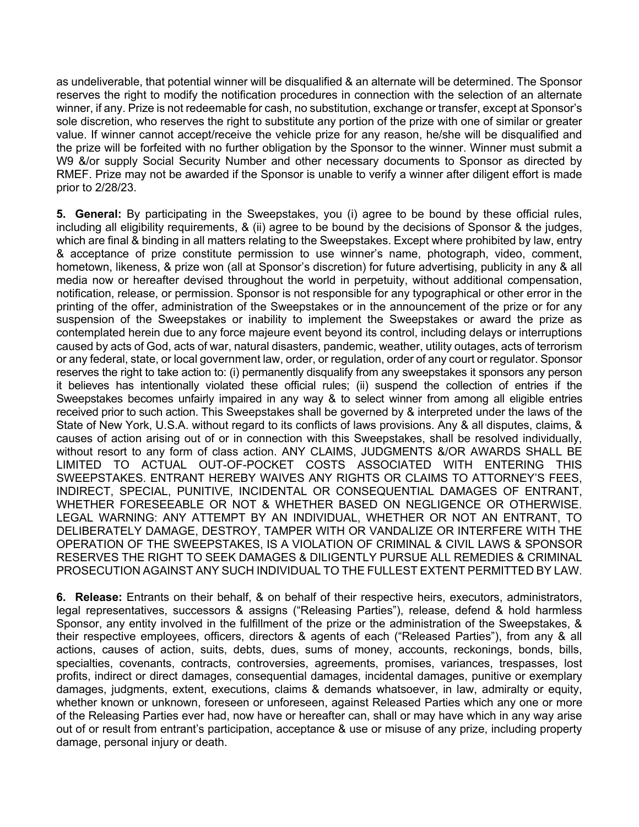as undeliverable, that potential winner will be disqualified & an alternate will be determined. The Sponsor reserves the right to modify the notification procedures in connection with the selection of an alternate winner, if any. Prize is not redeemable for cash, no substitution, exchange or transfer, except at Sponsor's sole discretion, who reserves the right to substitute any portion of the prize with one of similar or greater value. If winner cannot accept/receive the vehicle prize for any reason, he/she will be disqualified and the prize will be forfeited with no further obligation by the Sponsor to the winner. Winner must submit a W9 &/or supply Social Security Number and other necessary documents to Sponsor as directed by RMEF. Prize may not be awarded if the Sponsor is unable to verify a winner after diligent effort is made prior to 2/28/23.

**5. General:** By participating in the Sweepstakes, you (i) agree to be bound by these official rules, including all eligibility requirements, & (ii) agree to be bound by the decisions of Sponsor & the judges, which are final & binding in all matters relating to the Sweepstakes. Except where prohibited by law, entry & acceptance of prize constitute permission to use winner's name, photograph, video, comment, hometown, likeness, & prize won (all at Sponsor's discretion) for future advertising, publicity in any & all media now or hereafter devised throughout the world in perpetuity, without additional compensation, notification, release, or permission. Sponsor is not responsible for any typographical or other error in the printing of the offer, administration of the Sweepstakes or in the announcement of the prize or for any suspension of the Sweepstakes or inability to implement the Sweepstakes or award the prize as contemplated herein due to any force majeure event beyond its control, including delays or interruptions caused by acts of God, acts of war, natural disasters, pandemic, weather, utility outages, acts of terrorism or any federal, state, or local government law, order, or regulation, order of any court or regulator. Sponsor reserves the right to take action to: (i) permanently disqualify from any sweepstakes it sponsors any person it believes has intentionally violated these official rules; (ii) suspend the collection of entries if the Sweepstakes becomes unfairly impaired in any way & to select winner from among all eligible entries received prior to such action. This Sweepstakes shall be governed by & interpreted under the laws of the State of New York, U.S.A. without regard to its conflicts of laws provisions. Any & all disputes, claims, & causes of action arising out of or in connection with this Sweepstakes, shall be resolved individually, without resort to any form of class action. ANY CLAIMS, JUDGMENTS &/OR AWARDS SHALL BE LIMITED TO ACTUAL OUT-OF-POCKET COSTS ASSOCIATED WITH ENTERING THIS SWEEPSTAKES. ENTRANT HEREBY WAIVES ANY RIGHTS OR CLAIMS TO ATTORNEY'S FEES, INDIRECT, SPECIAL, PUNITIVE, INCIDENTAL OR CONSEQUENTIAL DAMAGES OF ENTRANT, WHETHER FORESEEABLE OR NOT & WHETHER BASED ON NEGLIGENCE OR OTHERWISE. LEGAL WARNING: ANY ATTEMPT BY AN INDIVIDUAL, WHETHER OR NOT AN ENTRANT, TO DELIBERATELY DAMAGE, DESTROY, TAMPER WITH OR VANDALIZE OR INTERFERE WITH THE OPERATION OF THE SWEEPSTAKES, IS A VIOLATION OF CRIMINAL & CIVIL LAWS & SPONSOR RESERVES THE RIGHT TO SEEK DAMAGES & DILIGENTLY PURSUE ALL REMEDIES & CRIMINAL PROSECUTION AGAINST ANY SUCH INDIVIDUAL TO THE FULLEST EXTENT PERMITTED BY LAW.

**6. Release:** Entrants on their behalf, & on behalf of their respective heirs, executors, administrators, legal representatives, successors & assigns ("Releasing Parties"), release, defend & hold harmless Sponsor, any entity involved in the fulfillment of the prize or the administration of the Sweepstakes, & their respective employees, officers, directors & agents of each ("Released Parties"), from any & all actions, causes of action, suits, debts, dues, sums of money, accounts, reckonings, bonds, bills, specialties, covenants, contracts, controversies, agreements, promises, variances, trespasses, lost profits, indirect or direct damages, consequential damages, incidental damages, punitive or exemplary damages, judgments, extent, executions, claims & demands whatsoever, in law, admiralty or equity, whether known or unknown, foreseen or unforeseen, against Released Parties which any one or more of the Releasing Parties ever had, now have or hereafter can, shall or may have which in any way arise out of or result from entrant's participation, acceptance & use or misuse of any prize, including property damage, personal injury or death.